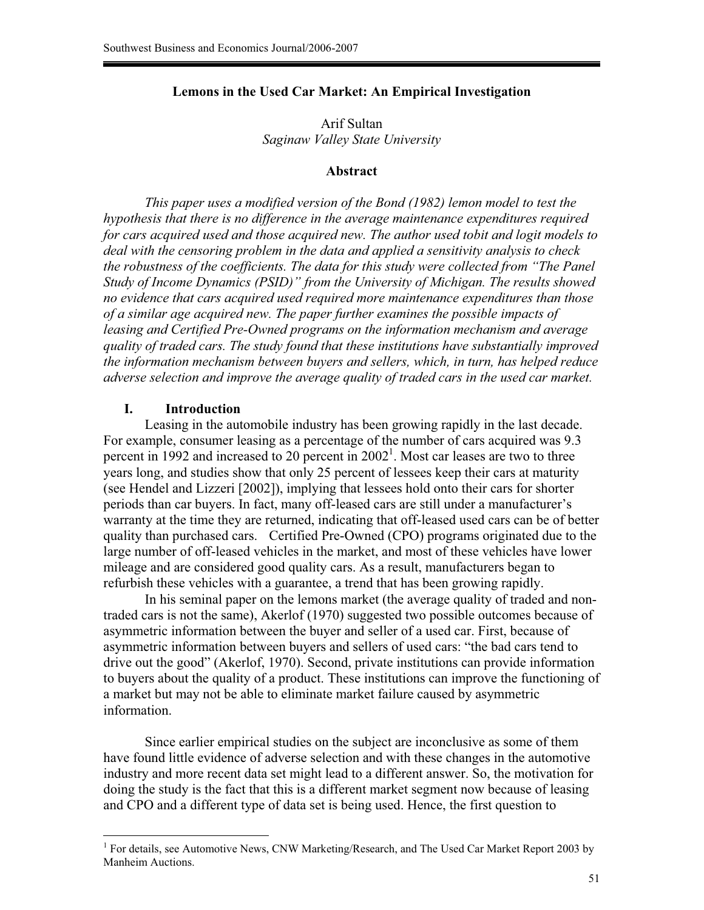#### **Lemons in the Used Car Market: An Empirical Investigation**

Arif Sultan *Saginaw Valley State University* 

### **Abstract**

*This paper uses a modified version of the Bond (1982) lemon model to test the hypothesis that there is no difference in the average maintenance expenditures required for cars acquired used and those acquired new. The author used tobit and logit models to deal with the censoring problem in the data and applied a sensitivity analysis to check the robustness of the coefficients. The data for this study were collected from "The Panel Study of Income Dynamics (PSID)" from the University of Michigan. The results showed no evidence that cars acquired used required more maintenance expenditures than those of a similar age acquired new. The paper further examines the possible impacts of leasing and Certified Pre-Owned programs on the information mechanism and average quality of traded cars. The study found that these institutions have substantially improved the information mechanism between buyers and sellers, which, in turn, has helped reduce adverse selection and improve the average quality of traded cars in the used car market.*

#### **I. Introduction**

 $\overline{a}$ 

Leasing in the automobile industry has been growing rapidly in the last decade. For example, consumer leasing as a percentage of the number of cars acquired was 9.3 percent in 1992 and increased to 20 percent in  $2002<sup>1</sup>$ . Most car leases are two to three years long, and studies show that only 25 percent of lessees keep their cars at maturity (see Hendel and Lizzeri [2002]), implying that lessees hold onto their cars for shorter periods than car buyers. In fact, many off-leased cars are still under a manufacturer's warranty at the time they are returned, indicating that off-leased used cars can be of better quality than purchased cars. Certified Pre-Owned (CPO) programs originated due to the large number of off-leased vehicles in the market, and most of these vehicles have lower mileage and are considered good quality cars. As a result, manufacturers began to refurbish these vehicles with a guarantee, a trend that has been growing rapidly.

In his seminal paper on the lemons market (the average quality of traded and nontraded cars is not the same), Akerlof (1970) suggested two possible outcomes because of asymmetric information between the buyer and seller of a used car. First, because of asymmetric information between buyers and sellers of used cars: "the bad cars tend to drive out the good" (Akerlof, 1970). Second, private institutions can provide information to buyers about the quality of a product. These institutions can improve the functioning of a market but may not be able to eliminate market failure caused by asymmetric information.

Since earlier empirical studies on the subject are inconclusive as some of them have found little evidence of adverse selection and with these changes in the automotive industry and more recent data set might lead to a different answer. So, the motivation for doing the study is the fact that this is a different market segment now because of leasing and CPO and a different type of data set is being used. Hence, the first question to

<sup>&</sup>lt;sup>1</sup> For details, see Automotive News, CNW Marketing/Research, and The Used Car Market Report 2003 by Manheim Auctions.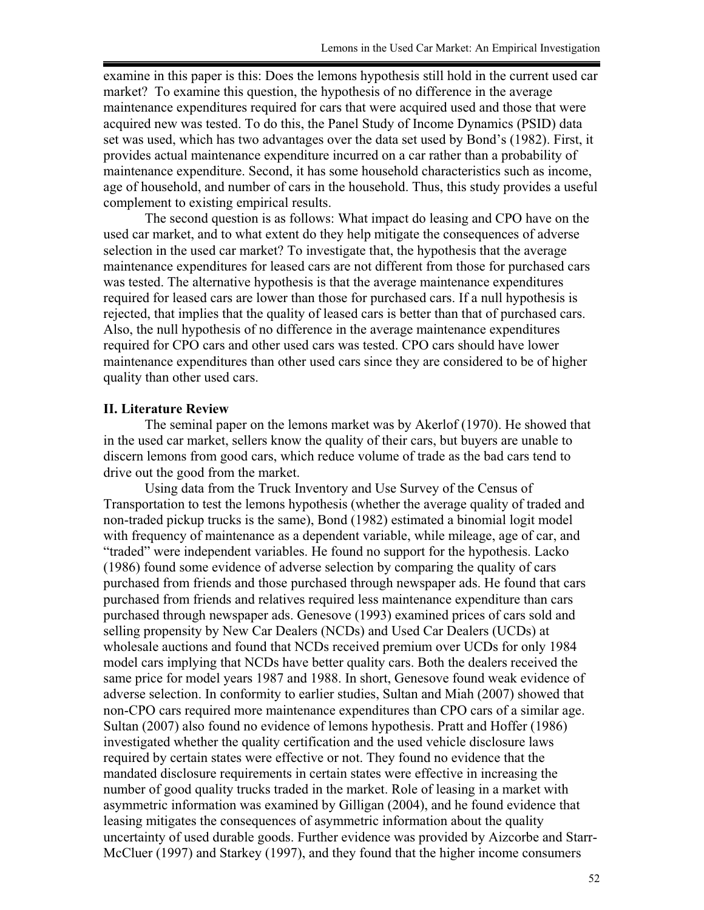examine in this paper is this: Does the lemons hypothesis still hold in the current used car market? To examine this question, the hypothesis of no difference in the average maintenance expenditures required for cars that were acquired used and those that were acquired new was tested. To do this, the Panel Study of Income Dynamics (PSID) data set was used, which has two advantages over the data set used by Bond's (1982). First, it provides actual maintenance expenditure incurred on a car rather than a probability of maintenance expenditure. Second, it has some household characteristics such as income, age of household, and number of cars in the household. Thus, this study provides a useful complement to existing empirical results.

The second question is as follows: What impact do leasing and CPO have on the used car market, and to what extent do they help mitigate the consequences of adverse selection in the used car market? To investigate that, the hypothesis that the average maintenance expenditures for leased cars are not different from those for purchased cars was tested. The alternative hypothesis is that the average maintenance expenditures required for leased cars are lower than those for purchased cars. If a null hypothesis is rejected, that implies that the quality of leased cars is better than that of purchased cars. Also, the null hypothesis of no difference in the average maintenance expenditures required for CPO cars and other used cars was tested. CPO cars should have lower maintenance expenditures than other used cars since they are considered to be of higher quality than other used cars.

#### **II. Literature Review**

The seminal paper on the lemons market was by Akerlof (1970). He showed that in the used car market, sellers know the quality of their cars, but buyers are unable to discern lemons from good cars, which reduce volume of trade as the bad cars tend to drive out the good from the market.

Using data from the Truck Inventory and Use Survey of the Census of Transportation to test the lemons hypothesis (whether the average quality of traded and non-traded pickup trucks is the same), Bond (1982) estimated a binomial logit model with frequency of maintenance as a dependent variable, while mileage, age of car, and "traded" were independent variables. He found no support for the hypothesis. Lacko (1986) found some evidence of adverse selection by comparing the quality of cars purchased from friends and those purchased through newspaper ads. He found that cars purchased from friends and relatives required less maintenance expenditure than cars purchased through newspaper ads. Genesove (1993) examined prices of cars sold and selling propensity by New Car Dealers (NCDs) and Used Car Dealers (UCDs) at wholesale auctions and found that NCDs received premium over UCDs for only 1984 model cars implying that NCDs have better quality cars. Both the dealers received the same price for model years 1987 and 1988. In short, Genesove found weak evidence of adverse selection. In conformity to earlier studies, Sultan and Miah (2007) showed that non-CPO cars required more maintenance expenditures than CPO cars of a similar age. Sultan (2007) also found no evidence of lemons hypothesis. Pratt and Hoffer (1986) investigated whether the quality certification and the used vehicle disclosure laws required by certain states were effective or not. They found no evidence that the mandated disclosure requirements in certain states were effective in increasing the number of good quality trucks traded in the market. Role of leasing in a market with asymmetric information was examined by Gilligan (2004), and he found evidence that leasing mitigates the consequences of asymmetric information about the quality uncertainty of used durable goods. Further evidence was provided by Aizcorbe and Starr-McCluer (1997) and Starkey (1997), and they found that the higher income consumers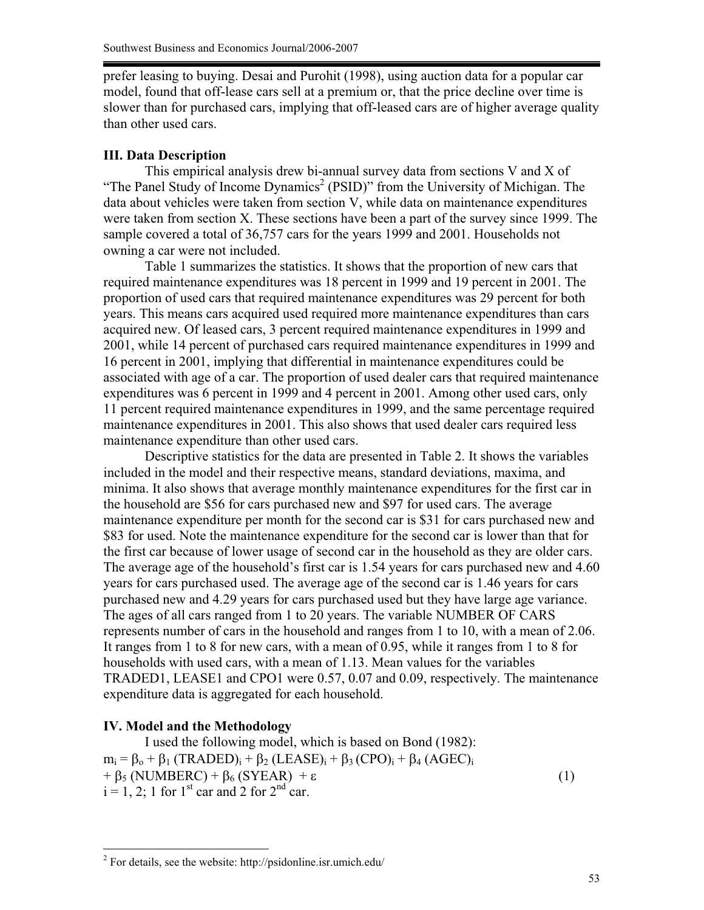prefer leasing to buying. Desai and Purohit (1998), using auction data for a popular car model, found that off-lease cars sell at a premium or, that the price decline over time is slower than for purchased cars, implying that off-leased cars are of higher average quality than other used cars.

#### **III. Data Description**

This empirical analysis drew bi-annual survey data from sections V and X of "The Panel Study of Income Dynamics<sup>2</sup> (PSID)" from the University of Michigan. The data about vehicles were taken from section V, while data on maintenance expenditures were taken from section X. These sections have been a part of the survey since 1999. The sample covered a total of 36,757 cars for the years 1999 and 2001. Households not owning a car were not included.

Table 1 summarizes the statistics. It shows that the proportion of new cars that required maintenance expenditures was 18 percent in 1999 and 19 percent in 2001. The proportion of used cars that required maintenance expenditures was 29 percent for both years. This means cars acquired used required more maintenance expenditures than cars acquired new. Of leased cars, 3 percent required maintenance expenditures in 1999 and 2001, while 14 percent of purchased cars required maintenance expenditures in 1999 and 16 percent in 2001, implying that differential in maintenance expenditures could be associated with age of a car. The proportion of used dealer cars that required maintenance expenditures was 6 percent in 1999 and 4 percent in 2001. Among other used cars, only 11 percent required maintenance expenditures in 1999, and the same percentage required maintenance expenditures in 2001. This also shows that used dealer cars required less maintenance expenditure than other used cars.

Descriptive statistics for the data are presented in Table 2. It shows the variables included in the model and their respective means, standard deviations, maxima, and minima. It also shows that average monthly maintenance expenditures for the first car in the household are \$56 for cars purchased new and \$97 for used cars. The average maintenance expenditure per month for the second car is \$31 for cars purchased new and \$83 for used. Note the maintenance expenditure for the second car is lower than that for the first car because of lower usage of second car in the household as they are older cars. The average age of the household's first car is 1.54 years for cars purchased new and 4.60 years for cars purchased used. The average age of the second car is 1.46 years for cars purchased new and 4.29 years for cars purchased used but they have large age variance. The ages of all cars ranged from 1 to 20 years. The variable NUMBER OF CARS represents number of cars in the household and ranges from 1 to 10, with a mean of 2.06. It ranges from 1 to 8 for new cars, with a mean of 0.95, while it ranges from 1 to 8 for households with used cars, with a mean of 1.13. Mean values for the variables TRADED1, LEASE1 and CPO1 were 0.57, 0.07 and 0.09, respectively. The maintenance expenditure data is aggregated for each household.

## **IV. Model and the Methodology**

 $\overline{a}$ 

I used the following model, which is based on Bond (1982):  $m_i = \beta_o + \beta_1 (TRADED)_i + \beta_2 (LEASE)_i + \beta_3 (CPO)_i + \beta_4 (AGEC)_i$  $+ \beta_5 (NUMBERC) + \beta_6 (SYEAR) + \varepsilon$  (1)  $i = 1, 2$ ; 1 for 1<sup>st</sup> car and 2 for 2<sup>nd</sup> car.

 $2^2$  For details, see the website: http://psidonline.isr.umich.edu/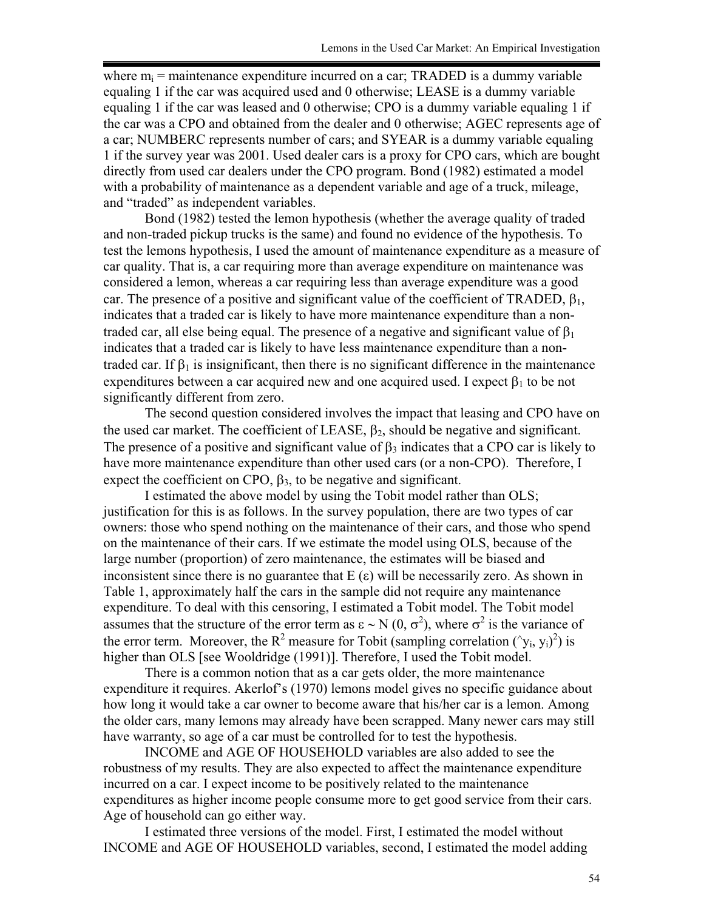where  $m_i$  = maintenance expenditure incurred on a car; TRADED is a dummy variable equaling 1 if the car was acquired used and 0 otherwise; LEASE is a dummy variable equaling 1 if the car was leased and 0 otherwise; CPO is a dummy variable equaling 1 if the car was a CPO and obtained from the dealer and 0 otherwise; AGEC represents age of a car; NUMBERC represents number of cars; and SYEAR is a dummy variable equaling 1 if the survey year was 2001. Used dealer cars is a proxy for CPO cars, which are bought directly from used car dealers under the CPO program. Bond (1982) estimated a model with a probability of maintenance as a dependent variable and age of a truck, mileage, and "traded" as independent variables.

Bond (1982) tested the lemon hypothesis (whether the average quality of traded and non-traded pickup trucks is the same) and found no evidence of the hypothesis. To test the lemons hypothesis, I used the amount of maintenance expenditure as a measure of car quality. That is, a car requiring more than average expenditure on maintenance was considered a lemon, whereas a car requiring less than average expenditure was a good car. The presence of a positive and significant value of the coefficient of TRADED,  $\beta_1$ , indicates that a traded car is likely to have more maintenance expenditure than a nontraded car, all else being equal. The presence of a negative and significant value of  $\beta_1$ indicates that a traded car is likely to have less maintenance expenditure than a nontraded car. If  $\beta_1$  is insignificant, then there is no significant difference in the maintenance expenditures between a car acquired new and one acquired used. I expect  $\beta_1$  to be not significantly different from zero.

The second question considered involves the impact that leasing and CPO have on the used car market. The coefficient of LEASE,  $\beta_2$ , should be negative and significant. The presence of a positive and significant value of  $\beta_3$  indicates that a CPO car is likely to have more maintenance expenditure than other used cars (or a non-CPO). Therefore, I expect the coefficient on CPO,  $\beta_3$ , to be negative and significant.

I estimated the above model by using the Tobit model rather than OLS; justification for this is as follows. In the survey population, there are two types of car owners: those who spend nothing on the maintenance of their cars, and those who spend on the maintenance of their cars. If we estimate the model using OLS, because of the large number (proportion) of zero maintenance, the estimates will be biased and inconsistent since there is no guarantee that  $E(\varepsilon)$  will be necessarily zero. As shown in Table 1, approximately half the cars in the sample did not require any maintenance expenditure. To deal with this censoring, I estimated a Tobit model. The Tobit model assumes that the structure of the error term as  $\epsilon \sim N(0, \sigma^2)$ , where  $\sigma^2$  is the variance of the error term. Moreover, the R<sup>2</sup> measure for Tobit (sampling correlation  $(\gamma_i, y_i)^2$ ) is higher than OLS [see Wooldridge (1991)]. Therefore, I used the Tobit model.

There is a common notion that as a car gets older, the more maintenance expenditure it requires. Akerlof's (1970) lemons model gives no specific guidance about how long it would take a car owner to become aware that his/her car is a lemon. Among the older cars, many lemons may already have been scrapped. Many newer cars may still have warranty, so age of a car must be controlled for to test the hypothesis.

INCOME and AGE OF HOUSEHOLD variables are also added to see the robustness of my results. They are also expected to affect the maintenance expenditure incurred on a car. I expect income to be positively related to the maintenance expenditures as higher income people consume more to get good service from their cars. Age of household can go either way.

I estimated three versions of the model. First, I estimated the model without INCOME and AGE OF HOUSEHOLD variables, second, I estimated the model adding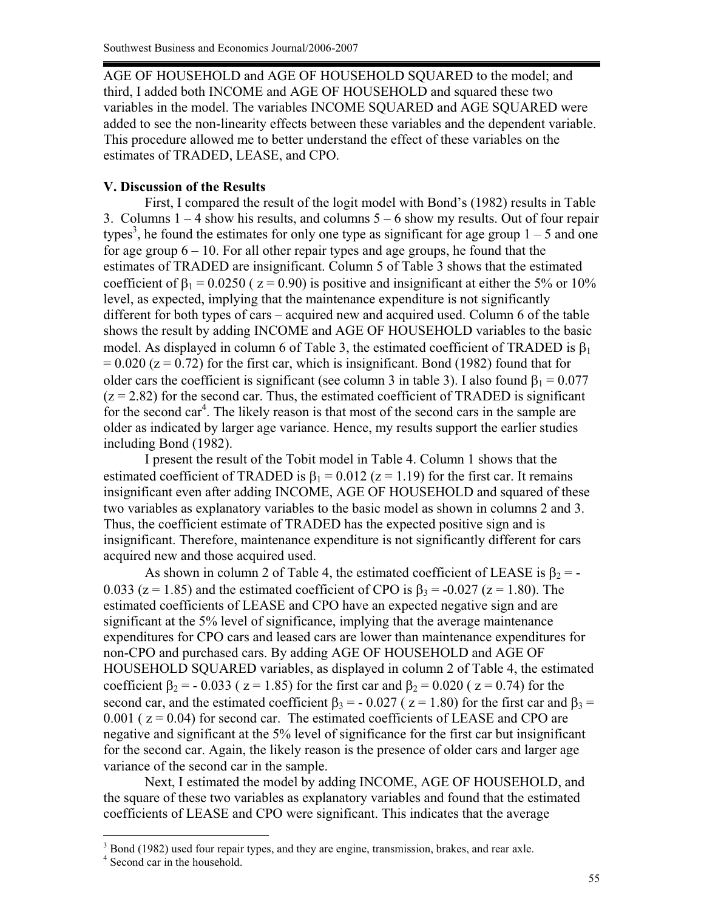AGE OF HOUSEHOLD and AGE OF HOUSEHOLD SQUARED to the model; and third, I added both INCOME and AGE OF HOUSEHOLD and squared these two variables in the model. The variables INCOME SQUARED and AGE SQUARED were added to see the non-linearity effects between these variables and the dependent variable. This procedure allowed me to better understand the effect of these variables on the estimates of TRADED, LEASE, and CPO.

# **V. Discussion of the Results**

First, I compared the result of the logit model with Bond's (1982) results in Table 3. Columns  $1 - 4$  show his results, and columns  $5 - 6$  show my results. Out of four repair types<sup>3</sup>, he found the estimates for only one type as significant for age group  $1 - 5$  and one for age group  $6 - 10$ . For all other repair types and age groups, he found that the estimates of TRADED are insignificant. Column 5 of Table 3 shows that the estimated coefficient of  $\beta_1 = 0.0250$  ( $z = 0.90$ ) is positive and insignificant at either the 5% or 10% level, as expected, implying that the maintenance expenditure is not significantly different for both types of cars – acquired new and acquired used. Column 6 of the table shows the result by adding INCOME and AGE OF HOUSEHOLD variables to the basic model. As displayed in column 6 of Table 3, the estimated coefficient of TRADED is  $\beta_1$  $= 0.020$  ( $z = 0.72$ ) for the first car, which is insignificant. Bond (1982) found that for older cars the coefficient is significant (see column 3 in table 3). I also found  $\beta_1 = 0.077$  $(z = 2.82)$  for the second car. Thus, the estimated coefficient of TRADED is significant for the second car<sup>4</sup>. The likely reason is that most of the second cars in the sample are older as indicated by larger age variance. Hence, my results support the earlier studies including Bond (1982).

 I present the result of the Tobit model in Table 4. Column 1 shows that the estimated coefficient of TRADED is  $\beta_1 = 0.012$  ( $z = 1.19$ ) for the first car. It remains insignificant even after adding INCOME, AGE OF HOUSEHOLD and squared of these two variables as explanatory variables to the basic model as shown in columns 2 and 3. Thus, the coefficient estimate of TRADED has the expected positive sign and is insignificant. Therefore, maintenance expenditure is not significantly different for cars acquired new and those acquired used.

As shown in column 2 of Table 4, the estimated coefficient of LEASE is  $\beta_2$  = -0.033 ( $z = 1.85$ ) and the estimated coefficient of CPO is  $\beta_3 = -0.027$  ( $z = 1.80$ ). The estimated coefficients of LEASE and CPO have an expected negative sign and are significant at the 5% level of significance, implying that the average maintenance expenditures for CPO cars and leased cars are lower than maintenance expenditures for non-CPO and purchased cars. By adding AGE OF HOUSEHOLD and AGE OF HOUSEHOLD SQUARED variables, as displayed in column 2 of Table 4, the estimated coefficient  $\beta_2 = -0.033$  ( z = 1.85) for the first car and  $\beta_2 = 0.020$  ( z = 0.74) for the second car, and the estimated coefficient  $\beta_3 = -0.027$  ( $z = 1.80$ ) for the first car and  $\beta_3 =$  $0.001$  ( $z = 0.04$ ) for second car. The estimated coefficients of LEASE and CPO are negative and significant at the 5% level of significance for the first car but insignificant for the second car. Again, the likely reason is the presence of older cars and larger age variance of the second car in the sample.

Next, I estimated the model by adding INCOME, AGE OF HOUSEHOLD, and the square of these two variables as explanatory variables and found that the estimated coefficients of LEASE and CPO were significant. This indicates that the average

 $\overline{a}$ 

<sup>&</sup>lt;sup>3</sup> Bond (1982) used four repair types, and they are engine, transmission, brakes, and rear axle.

<sup>4</sup> Second car in the household.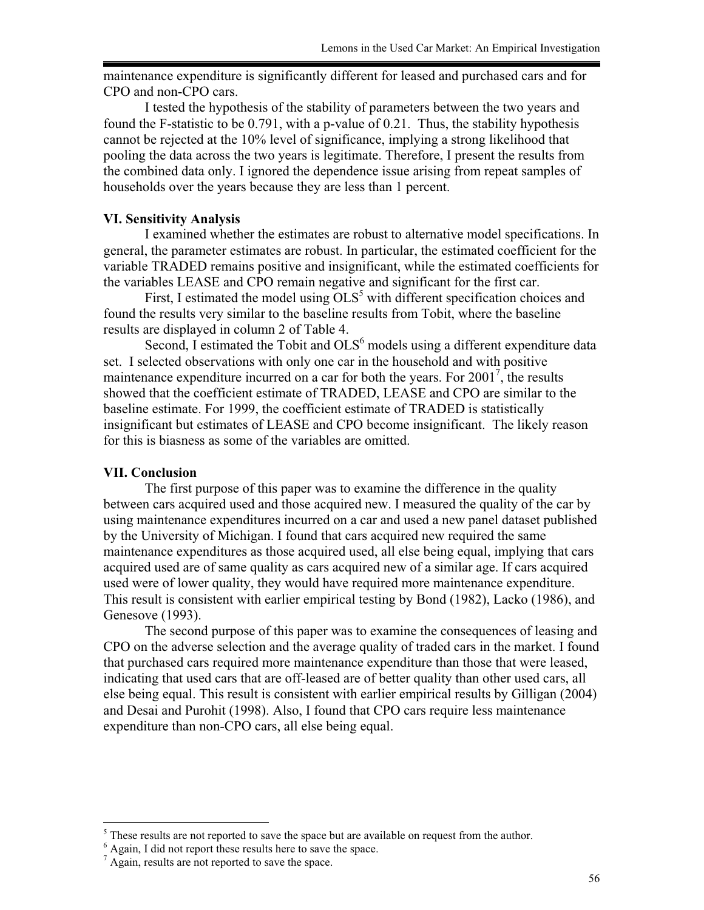maintenance expenditure is significantly different for leased and purchased cars and for CPO and non-CPO cars.

I tested the hypothesis of the stability of parameters between the two years and found the F-statistic to be 0.791, with a p-value of 0.21. Thus, the stability hypothesis cannot be rejected at the 10% level of significance, implying a strong likelihood that pooling the data across the two years is legitimate. Therefore, I present the results from the combined data only. I ignored the dependence issue arising from repeat samples of households over the years because they are less than 1 percent.

## **VI. Sensitivity Analysis**

I examined whether the estimates are robust to alternative model specifications. In general, the parameter estimates are robust. In particular, the estimated coefficient for the variable TRADED remains positive and insignificant, while the estimated coefficients for the variables LEASE and CPO remain negative and significant for the first car.

First, I estimated the model using  $OLS^5$  with different specification choices and found the results very similar to the baseline results from Tobit, where the baseline results are displayed in column 2 of Table 4.

Second, I estimated the Tobit and OLS<sup>6</sup> models using a different expenditure data set. I selected observations with only one car in the household and with positive maintenance expenditure incurred on a car for both the years. For  $2001^7$ , the results showed that the coefficient estimate of TRADED, LEASE and CPO are similar to the baseline estimate. For 1999, the coefficient estimate of TRADED is statistically insignificant but estimates of LEASE and CPO become insignificant. The likely reason for this is biasness as some of the variables are omitted.

#### **VII. Conclusion**

The first purpose of this paper was to examine the difference in the quality between cars acquired used and those acquired new. I measured the quality of the car by using maintenance expenditures incurred on a car and used a new panel dataset published by the University of Michigan. I found that cars acquired new required the same maintenance expenditures as those acquired used, all else being equal, implying that cars acquired used are of same quality as cars acquired new of a similar age. If cars acquired used were of lower quality, they would have required more maintenance expenditure. This result is consistent with earlier empirical testing by Bond (1982), Lacko (1986), and Genesove (1993).

The second purpose of this paper was to examine the consequences of leasing and CPO on the adverse selection and the average quality of traded cars in the market. I found that purchased cars required more maintenance expenditure than those that were leased, indicating that used cars that are off-leased are of better quality than other used cars, all else being equal. This result is consistent with earlier empirical results by Gilligan (2004) and Desai and Purohit (1998). Also, I found that CPO cars require less maintenance expenditure than non-CPO cars, all else being equal.

<sup>&</sup>lt;sup>5</sup> These results are not reported to save the space but are available on request from the author.

 $^6$  Again, I did not report these results here to save the space.  $^7$  Again, results are not reported to save the space.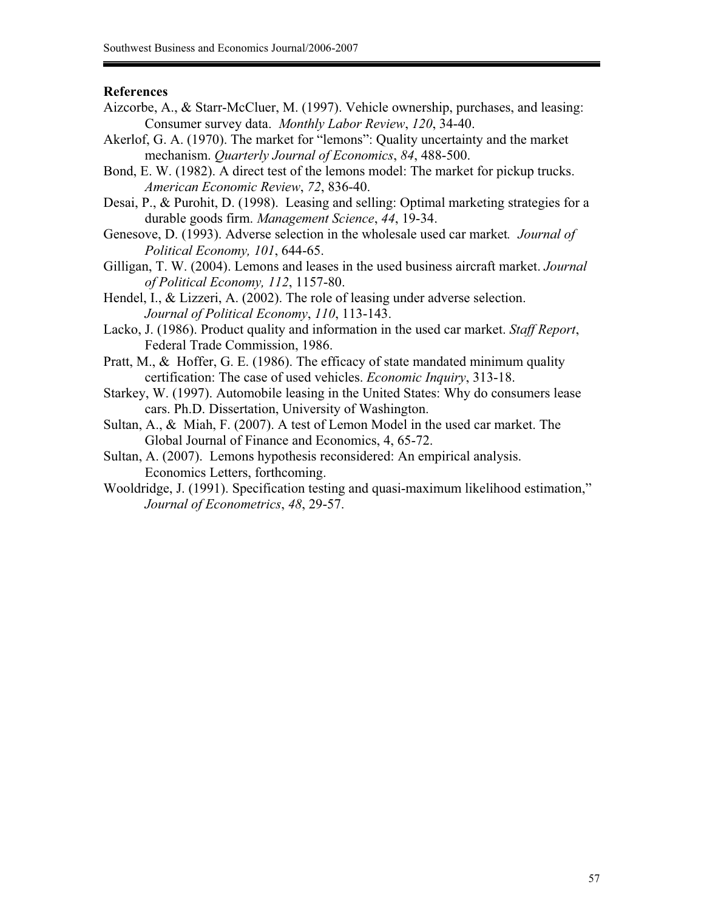#### **References**

- Aizcorbe, A., & Starr-McCluer, M. (1997). Vehicle ownership, purchases, and leasing: Consumer survey data. *Monthly Labor Review*, *120*, 34-40.
- Akerlof, G. A. (1970). The market for "lemons": Quality uncertainty and the market mechanism. *Quarterly Journal of Economics*, *84*, 488-500.
- Bond, E. W. (1982). A direct test of the lemons model: The market for pickup trucks. *American Economic Review*, *72*, 836-40.
- Desai, P., & Purohit, D. (1998). Leasing and selling: Optimal marketing strategies for a durable goods firm. *Management Science*, *44*, 19-34.
- Genesove, D. (1993). Adverse selection in the wholesale used car market*. Journal of Political Economy, 101*, 644-65.
- Gilligan, T. W. (2004). Lemons and leases in the used business aircraft market. *Journal of Political Economy, 112*, 1157-80.
- Hendel, I., & Lizzeri, A. (2002). The role of leasing under adverse selection. *Journal of Political Economy*, *110*, 113-143.
- Lacko, J. (1986). Product quality and information in the used car market. *Staff Report*, Federal Trade Commission, 1986.
- Pratt, M., & Hoffer, G. E. (1986). The efficacy of state mandated minimum quality certification: The case of used vehicles. *Economic Inquiry*, 313-18.
- Starkey, W. (1997). Automobile leasing in the United States: Why do consumers lease cars. Ph.D. Dissertation, University of Washington.
- Sultan, A., & Miah, F. (2007). A test of Lemon Model in the used car market. The Global Journal of Finance and Economics, 4, 65-72.
- Sultan, A. (2007). Lemons hypothesis reconsidered: An empirical analysis. Economics Letters, forthcoming.
- Wooldridge, J. (1991). Specification testing and quasi-maximum likelihood estimation," *Journal of Econometrics*, *48*, 29-57.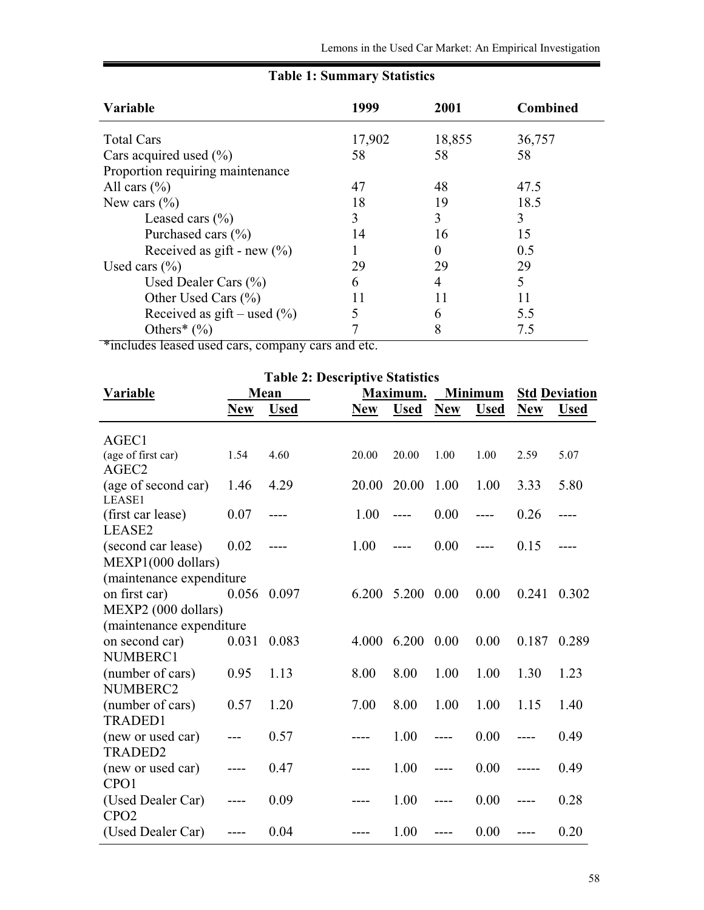| Variable                           | 1999   | 2001     | <b>Combined</b> |
|------------------------------------|--------|----------|-----------------|
| <b>Total Cars</b>                  | 17,902 | 18,855   | 36,757          |
| Cars acquired used $(\% )$         | 58     | 58       | 58              |
| Proportion requiring maintenance   |        |          |                 |
| All cars $(\% )$                   | 47     | 48       | 47.5            |
| New cars $(\%$                     | 18     | 19       | 18.5            |
| Leased cars $(\% )$                | 3      | 3        | 3               |
| Purchased cars $(\% )$             | 14     | 16       | 15              |
| Received as gift - new $(\%$ )     |        | $\Omega$ | 0.5             |
| Used cars $(\% )$                  | 29     | 29       | 29              |
| Used Dealer Cars $(\% )$           | 6      | 4        | 5               |
| Other Used Cars $(\% )$            | 11     | 11       |                 |
| Received as $g$ ift – used $(\% )$ | 5      | 6        | 5.5             |
| Others <sup>*</sup> $(\% )$        |        | 8        | 7.5             |

# **Table 1: Summary Statistics**

\*includes leased used cars, company cars and etc.

| <b>Table 2: Descriptive Statistics</b>   |            |             |            |             |                |             |                      |             |
|------------------------------------------|------------|-------------|------------|-------------|----------------|-------------|----------------------|-------------|
| <b>Variable</b>                          | Mean       |             | Maximum.   |             | <b>Minimum</b> |             | <b>Std Deviation</b> |             |
|                                          | <b>New</b> | <b>Used</b> | <b>New</b> | <b>Used</b> | <b>New</b>     | <b>Used</b> | <b>New</b>           | <b>Used</b> |
| AGEC1                                    |            |             |            |             |                |             |                      |             |
| (age of first car)<br>AGEC <sub>2</sub>  | 1.54       | 4.60        | 20.00      | 20.00       | 1.00           | 1.00        | 2.59                 | 5.07        |
| (age of second car)<br>LEASE1            | 1.46       | 4.29        | 20.00      | 20.00       | 1.00           | 1.00        | 3.33                 | 5.80        |
| (first car lease)<br>LEASE2              | 0.07       |             | 1.00       | ----        | 0.00           | ----        | 0.26                 |             |
| (second car lease)<br>MEXP1(000 dollars) | 0.02       |             | 1.00       |             | 0.00           |             | 0.15                 |             |
| (maintenance expenditure                 |            |             |            |             |                |             |                      |             |
| on first car)                            | 0.056      | 0.097       | 6.200      | 5.200       | 0.00           | 0.00        | 0.241                | 0.302       |
| MEXP2 (000 dollars)                      |            |             |            |             |                |             |                      |             |
| (maintenance expenditure                 |            |             |            |             |                |             |                      |             |
| on second car)<br>NUMBERC1               | 0.031      | 0.083       | 4.000      | 6.200       | 0.00           | 0.00        | 0.187                | 0.289       |
| (number of cars)<br>NUMBERC2             | 0.95       | 1.13        | 8.00       | 8.00        | 1.00           | 1.00        | 1.30                 | 1.23        |
| (number of cars)<br><b>TRADED1</b>       | 0.57       | 1.20        | 7.00       | 8.00        | 1.00           | 1.00        | 1.15                 | 1.40        |
| (new or used car)<br><b>TRADED2</b>      |            | 0.57        |            | 1.00        | ----           | 0.00        |                      | 0.49        |
| (new or used car)<br>CPO <sub>1</sub>    |            | 0.47        |            | 1.00        |                | 0.00        |                      | 0.49        |
| (Used Dealer Car)<br>CPO <sub>2</sub>    |            | 0.09        |            | 1.00        | ----           | 0.00        |                      | 0.28        |
| (Used Dealer Car)                        |            | 0.04        |            | 1.00        |                | 0.00        | ----                 | 0.20        |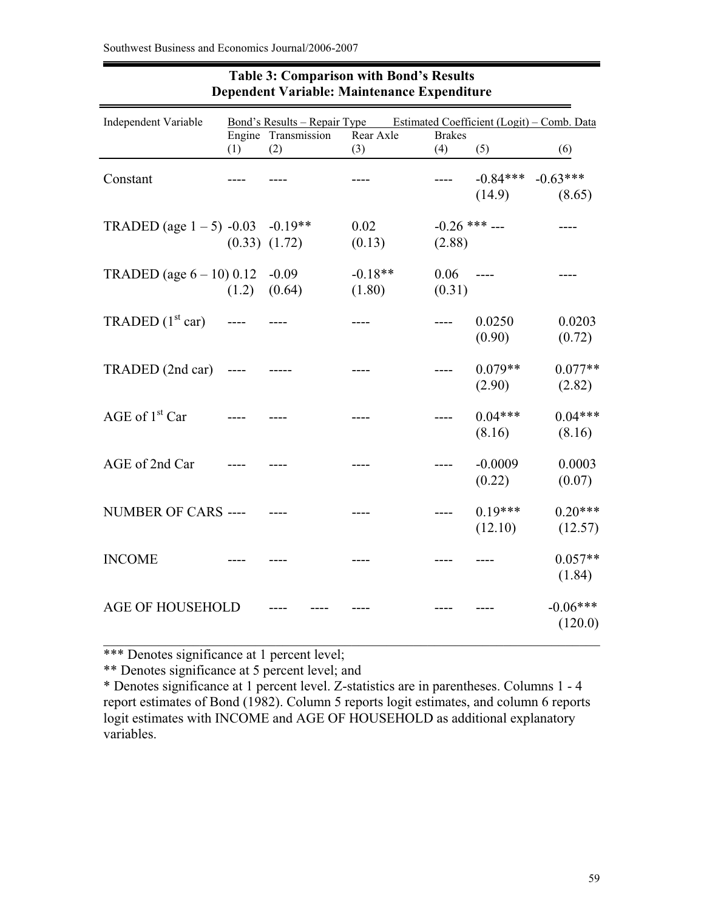| Independent Variable                |                             |                     | <u>Bond's Results – Repair Type Estimated Coefficient (Logit) – Comb. Data</u> |                           |                      |                       |
|-------------------------------------|-----------------------------|---------------------|--------------------------------------------------------------------------------|---------------------------|----------------------|-----------------------|
|                                     |                             | Engine Transmission | Rear Axle                                                                      | <b>Brakes</b>             |                      |                       |
|                                     | (1)                         | (2)                 | (3)                                                                            | (4)                       | (5)                  | (6)                   |
| Constant                            |                             |                     |                                                                                | $--- -$                   | $-0.84***$<br>(14.9) | $-0.63***$<br>(8.65)  |
| TRADED (age $1 - 5$ ) -0.03 -0.19** | $(0.33)$ $(1.72)$           |                     | 0.02<br>(0.13)                                                                 | $-0.26$ *** ---<br>(2.88) |                      |                       |
| TRADED (age $6 - 10$ ) 0.12 -0.09   |                             | $(1.2)$ $(0.64)$    | $-0.18**$<br>(1.80)                                                            | $0.06$ ----<br>(0.31)     |                      |                       |
| TRADED $(1st car)$                  | $\sim$ $\sim$ $\sim$ $\sim$ |                     |                                                                                | $\frac{1}{1}$             | 0.0250<br>(0.90)     | 0.0203<br>(0.72)      |
| $TRADED (2nd car)$ ----             |                             |                     |                                                                                | $---$                     | $0.079**$<br>(2.90)  | $0.077**$<br>(2.82)   |
| AGE of $1st$ Car                    |                             |                     |                                                                                |                           | $0.04***$<br>(8.16)  | $0.04***$<br>(8.16)   |
| AGE of 2nd Car                      |                             |                     |                                                                                |                           | $-0.0009$<br>(0.22)  | 0.0003<br>(0.07)      |
| NUMBER OF CARS ---- ---             |                             |                     |                                                                                | $---$                     | $0.19***$<br>(12.10) | $0.20***$<br>(12.57)  |
| <b>INCOME</b>                       |                             |                     |                                                                                |                           |                      | $0.057**$<br>(1.84)   |
| <b>AGE OF HOUSEHOLD</b>             |                             |                     |                                                                                |                           |                      | $-0.06***$<br>(120.0) |

# **Table 3: Comparison with Bond's Results Dependent Variable: Maintenance Expenditure**

\*\*\* Denotes significance at 1 percent level;

\*\* Denotes significance at 5 percent level; and

\* Denotes significance at 1 percent level. Z-statistics are in parentheses. Columns 1 - 4 report estimates of Bond (1982). Column 5 reports logit estimates, and column 6 reports logit estimates with INCOME and AGE OF HOUSEHOLD as additional explanatory variables.